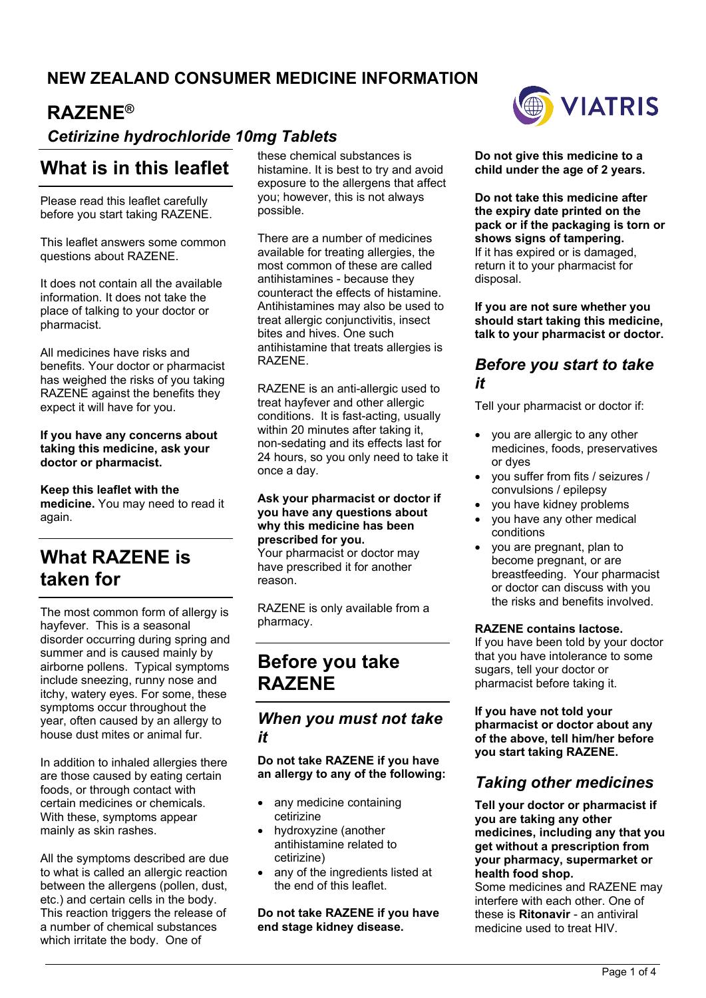## **NEW ZEALAND CONSUMER MEDICINE INFORMATION**

## **RAZENE®**

## *Cetirizine hydrochloride 10mg Tablets*

## **What is in this leaflet**

Please read this leaflet carefully before you start taking RAZENE.

This leaflet answers some common questions about RAZENE.

It does not contain all the available information. It does not take the place of talking to your doctor or pharmacist.

All medicines have risks and benefits. Your doctor or pharmacist has weighed the risks of you taking RAZENE against the benefits they expect it will have for you.

**If you have any concerns about taking this medicine, ask your doctor or pharmacist.**

**Keep this leaflet with the medicine.** You may need to read it again.

# **What RAZENE is taken for**

The most common form of allergy is hayfever. This is a seasonal disorder occurring during spring and summer and is caused mainly by airborne pollens. Typical symptoms include sneezing, runny nose and itchy, watery eyes. For some, these symptoms occur throughout the year, often caused by an allergy to house dust mites or animal fur.

In addition to inhaled allergies there are those caused by eating certain foods, or through contact with certain medicines or chemicals. With these, symptoms appear mainly as skin rashes.

All the symptoms described are due to what is called an allergic reaction between the allergens (pollen, dust, etc.) and certain cells in the body. This reaction triggers the release of a number of chemical substances which irritate the body. One of

these chemical substances is histamine. It is best to try and avoid exposure to the allergens that affect you; however, this is not always possible.

There are a number of medicines available for treating allergies, the most common of these are called antihistamines - because they counteract the effects of histamine. Antihistamines may also be used to treat allergic conjunctivitis, insect bites and hives. One such antihistamine that treats allergies is RAZENE.

RAZENE is an anti-allergic used to treat hayfever and other allergic conditions. It is fast-acting, usually within 20 minutes after taking it, non-sedating and its effects last for 24 hours, so you only need to take it once a day.

**Ask your pharmacist or doctor if you have any questions about why this medicine has been prescribed for you.** Your pharmacist or doctor may

have prescribed it for another reason.

RAZENE is only available from a pharmacy.

## **Before you take RAZENE**

*When you must not take it*

**Do not take RAZENE if you have an allergy to any of the following:**

- any medicine containing cetirizine
- hydroxyzine (another antihistamine related to cetirizine)
- any of the ingredients listed at the end of this leaflet.

**Do not take RAZENE if you have end stage kidney disease.**



**Do not give this medicine to a child under the age of 2 years.**

**Do not take this medicine after the expiry date printed on the pack or if the packaging is torn or shows signs of tampering.** If it has expired or is damaged, return it to your pharmacist for disposal.

**If you are not sure whether you should start taking this medicine, talk to your pharmacist or doctor.**

### *Before you start to take it*

Tell your pharmacist or doctor if:

- you are allergic to any other medicines, foods, preservatives or dyes
- you suffer from fits / seizures / convulsions / epilepsy
- you have kidney problems
- you have any other medical conditions
- you are pregnant, plan to become pregnant, or are breastfeeding. Your pharmacist or doctor can discuss with you the risks and benefits involved.

#### **RAZENE contains lactose.**

If you have been told by your doctor that you have intolerance to some sugars, tell your doctor or pharmacist before taking it.

**If you have not told your pharmacist or doctor about any of the above, tell him/her before you start taking RAZENE.**

## *Taking other medicines*

**Tell your doctor or pharmacist if you are taking any other medicines, including any that you get without a prescription from your pharmacy, supermarket or health food shop.**

Some medicines and RAZENE may interfere with each other. One of these is **Ritonavir** - an antiviral medicine used to treat HIV.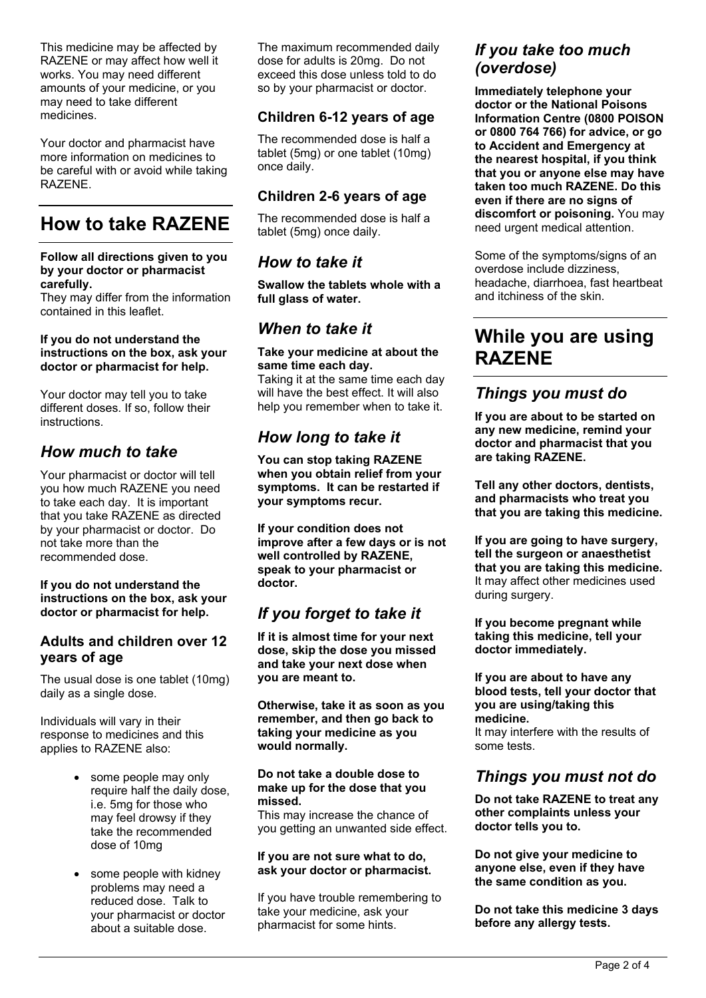This medicine may be affected by RAZENE or may affect how well it works. You may need different amounts of your medicine, or you may need to take different medicines.

Your doctor and pharmacist have more information on medicines to be careful with or avoid while taking RAZENE.

# **How to take RAZENE**

#### **Follow all directions given to you by your doctor or pharmacist carefully.**

They may differ from the information contained in this leaflet.

#### **If you do not understand the instructions on the box, ask your doctor or pharmacist for help.**

Your doctor may tell you to take different doses. If so, follow their instructions.

### *How much to take*

Your pharmacist or doctor will tell you how much RAZENE you need to take each day. It is important that you take RAZENE as directed by your pharmacist or doctor. Do not take more than the recommended dose.

#### **If you do not understand the instructions on the box, ask your doctor or pharmacist for help.**

### **Adults and children over 12 years of age**

The usual dose is one tablet (10mg) daily as a single dose.

Individuals will vary in their response to medicines and this applies to RAZENE also:

- some people may only require half the daily dose, i.e. 5mg for those who may feel drowsy if they take the recommended dose of 10mg
- some people with kidney problems may need a reduced dose. Talk to your pharmacist or doctor about a suitable dose.

The maximum recommended daily dose for adults is 20mg. Do not exceed this dose unless told to do so by your pharmacist or doctor.

### **Children 6-12 years of age**

The recommended dose is half a tablet (5mg) or one tablet (10mg) once daily.

### **Children 2-6 years of age**

The recommended dose is half a tablet (5mg) once daily.

### *How to take it*

**Swallow the tablets whole with a full glass of water.**

### *When to take it*

**Take your medicine at about the same time each day.** Taking it at the same time each day

will have the best effect. It will also help you remember when to take it.

## *How long to take it*

**You can stop taking RAZENE when you obtain relief from your symptoms. It can be restarted if your symptoms recur.**

**If your condition does not improve after a few days or is not well controlled by RAZENE, speak to your pharmacist or doctor.**

## *If you forget to take it*

**If it is almost time for your next dose, skip the dose you missed and take your next dose when you are meant to.**

**Otherwise, take it as soon as you remember, and then go back to taking your medicine as you would normally.**

#### **Do not take a double dose to make up for the dose that you missed.**

This may increase the chance of you getting an unwanted side effect.

#### **If you are not sure what to do, ask your doctor or pharmacist.**

If you have trouble remembering to take your medicine, ask your pharmacist for some hints.

## *If you take too much (overdose)*

**Immediately telephone your doctor or the National Poisons Information Centre (0800 POISON or 0800 764 766) for advice, or go to Accident and Emergency at the nearest hospital, if you think that you or anyone else may have taken too much RAZENE. Do this even if there are no signs of discomfort or poisoning.** You may need urgent medical attention.

Some of the symptoms/signs of an overdose include dizziness, headache, diarrhoea, fast heartbeat and itchiness of the skin.

## **While you are using RAZENE**

### *Things you must do*

**If you are about to be started on any new medicine, remind your doctor and pharmacist that you are taking RAZENE.**

**Tell any other doctors, dentists, and pharmacists who treat you that you are taking this medicine.**

**If you are going to have surgery, tell the surgeon or anaesthetist that you are taking this medicine.** It may affect other medicines used during surgery.

**If you become pregnant while taking this medicine, tell your doctor immediately.**

**If you are about to have any blood tests, tell your doctor that you are using/taking this medicine.** It may interfere with the results of some tests.

## *Things you must not do*

**Do not take RAZENE to treat any other complaints unless your doctor tells you to.**

**Do not give your medicine to anyone else, even if they have the same condition as you.**

**Do not take this medicine 3 days before any allergy tests.**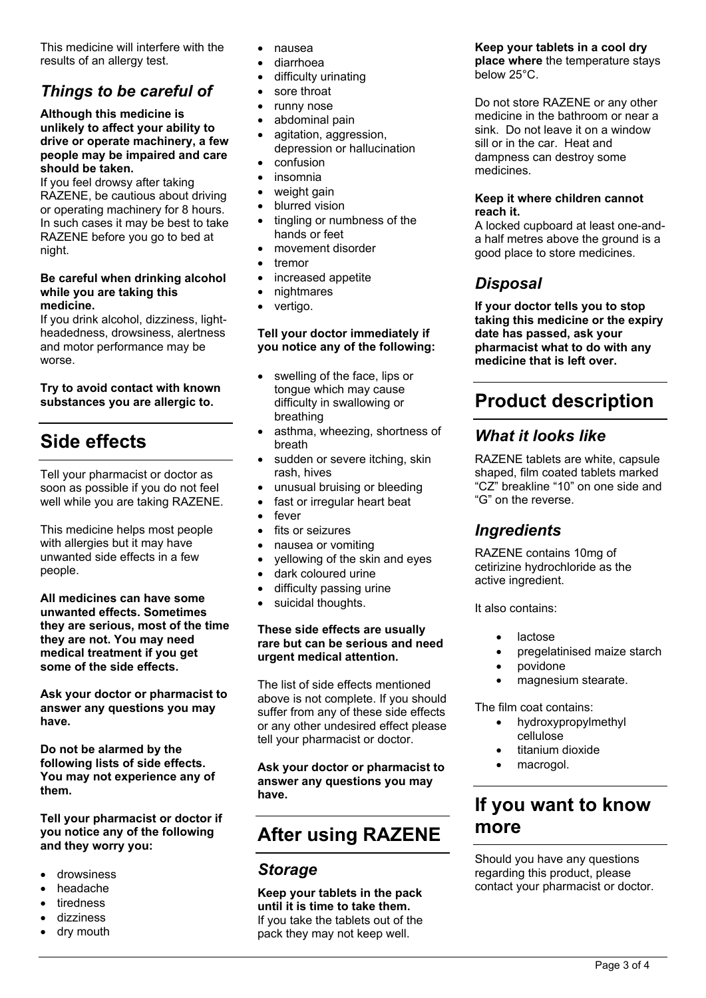This medicine will interfere with the results of an allergy test.

## *Things to be careful of*

#### **Although this medicine is unlikely to affect your ability to drive or operate machinery, a few people may be impaired and care should be taken.**

If you feel drowsy after taking RAZENE, be cautious about driving or operating machinery for 8 hours. In such cases it may be best to take RAZENE before you go to bed at night.

#### **Be careful when drinking alcohol while you are taking this medicine.**

If you drink alcohol, dizziness, lightheadedness, drowsiness, alertness and motor performance may be worse.

#### **Try to avoid contact with known substances you are allergic to.**

# **Side effects**

Tell your pharmacist or doctor as soon as possible if you do not feel well while you are taking RAZENE.

This medicine helps most people with allergies but it may have unwanted side effects in a few people.

**All medicines can have some unwanted effects. Sometimes they are serious, most of the time they are not. You may need medical treatment if you get some of the side effects.**

**Ask your doctor or pharmacist to answer any questions you may have.**

**Do not be alarmed by the following lists of side effects. You may not experience any of them.**

**Tell your pharmacist or doctor if you notice any of the following and they worry you:**

- drowsiness
- headache
- tiredness
- dizziness
- dry mouth
- nausea
- diarrhoea
- difficulty urinating
- sore throat
- runny nose
- abdominal pain
- agitation, aggression, depression or hallucination
- confusion
- insomnia
- weight gain
- blurred vision
- tingling or numbness of the hands or feet
- movement disorder
- tremor
- increased appetite
- nightmares
- vertigo.

#### **Tell your doctor immediately if you notice any of the following:**

- swelling of the face, lips or tongue which may cause difficulty in swallowing or breathing
- asthma, wheezing, shortness of breath
- sudden or severe itching, skin rash, hives
- unusual bruising or bleeding
- fast or irregular heart beat
- fever
- fits or seizures
- nausea or vomiting
- yellowing of the skin and eyes
- dark coloured urine
- difficulty passing urine
- suicidal thoughts.

#### **These side effects are usually rare but can be serious and need urgent medical attention.**

The list of side effects mentioned above is not complete. If you should suffer from any of these side effects or any other undesired effect please tell your pharmacist or doctor.

**Ask your doctor or pharmacist to answer any questions you may have.**

# **After using RAZENE**

### *Storage*

**Keep your tablets in the pack until it is time to take them.** If you take the tablets out of the pack they may not keep well.

### **Keep your tablets in a cool dry**

**place where** the temperature stays below 25°C.

Do not store RAZENE or any other medicine in the bathroom or near a sink. Do not leave it on a window sill or in the car. Heat and dampness can destroy some medicines.

#### **Keep it where children cannot reach it.**

A locked cupboard at least one-anda half metres above the ground is a good place to store medicines.

## *Disposal*

**If your doctor tells you to stop taking this medicine or the expiry date has passed, ask your pharmacist what to do with any medicine that is left over.**

# **Product description**

### *What it looks like*

RAZENE tablets are white, capsule shaped, film coated tablets marked "CZ" breakline "10" on one side and "G" on the reverse.

## *Ingredients*

RAZENE contains 10mg of cetirizine hydrochloride as the active ingredient.

It also contains:

- lactose
- pregelatinised maize starch
- povidone
- magnesium stearate.

The film coat contains:

- hydroxypropylmethyl cellulose
- titanium dioxide
- macrogol.

## **If you want to know more**

Should you have any questions regarding this product, please contact your pharmacist or doctor.